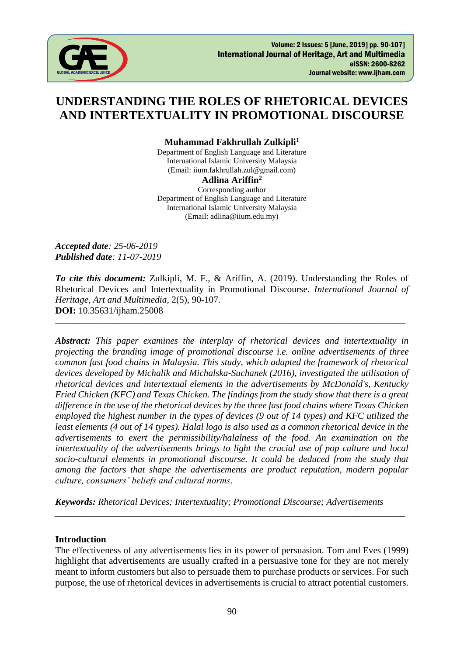

# **UNDERSTANDING THE ROLES OF RHETORICAL DEVICES AND INTERTEXTUALITY IN PROMOTIONAL DISCOURSE**

**Muhammad Fakhrullah Zulkipli<sup>1</sup>**

Department of English Language and Literature International Islamic University Malaysia (Email: iium.fakhrullah.zul@gmail.com)

#### **Adlina Ariffin<sup>2</sup>**

Corresponding author Department of English Language and Literature International Islamic University Malaysia (Email: adlina@iium.edu.my)

*Accepted date: 25-06-2019 Published date: 11-07-2019*

*To cite this document:* Zulkipli, M. F., & Ariffin, A. (2019). Understanding the Roles of Rhetorical Devices and Intertextuality in Promotional Discourse. *International Journal of Heritage, Art and Multimedia,* 2(5), 90-107. **DOI:** 10.35631/ijham.25008

\_\_\_\_\_\_\_\_\_\_\_\_\_\_\_\_\_\_\_\_\_\_\_\_\_\_\_\_\_\_\_\_\_\_\_\_\_\_\_\_\_\_\_\_\_\_\_\_\_\_\_\_\_\_\_\_\_\_\_\_\_\_\_\_\_\_\_\_\_\_\_\_\_\_\_\_\_\_\_\_\_\_\_\_\_\_\_\_\_\_

*Abstract: This paper examines the interplay of rhetorical devices and intertextuality in projecting the branding image of promotional discourse i.e. online advertisements of three common fast food chains in Malaysia. This study, which adapted the framework of rhetorical devices developed by Michalik and Michalska-Suchanek (2016), investigated the utilisation of rhetorical devices and intertextual elements in the advertisements by McDonald's, Kentucky Fried Chicken (KFC) and Texas Chicken. The findings from the study show that there is a great difference in the use of the rhetorical devices by the three fast food chains where Texas Chicken employed the highest number in the types of devices (9 out of 14 types) and KFC utilized the least elements (4 out of 14 types). Halal logo is also used as a common rhetorical device in the advertisements to exert the permissibility/halalness of the food. An examination on the intertextuality of the advertisements brings to light the crucial use of pop culture and local socio-cultural elements in promotional discourse. It could be deduced from the study that among the factors that shape the advertisements are product reputation, modern popular culture, consumers' beliefs and cultural norms.*

*Keywords: Rhetorical Devices; Intertextuality; Promotional Discourse; Advertisements*

#### **Introduction**

The effectiveness of any advertisements lies in its power of persuasion. Tom and Eves (1999) highlight that advertisements are usually crafted in a persuasive tone for they are not merely meant to inform customers but also to persuade them to purchase products or services. For such purpose, the use of rhetorical devices in advertisements is crucial to attract potential customers.

*\_\_\_\_\_\_\_\_\_\_\_\_\_\_\_\_\_\_\_\_\_\_\_\_\_\_\_\_\_\_\_\_\_\_\_\_\_\_\_\_\_\_\_\_\_\_\_\_\_\_\_\_\_\_\_\_\_\_\_\_\_\_\_\_\_\_\_\_\_\_\_\_\_\_\_*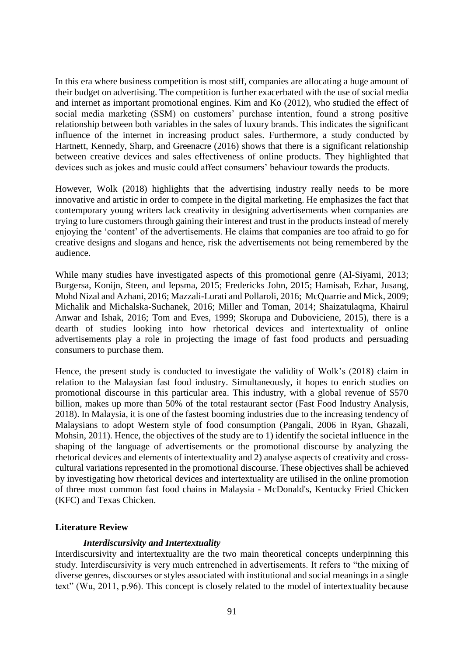In this era where business competition is most stiff, companies are allocating a huge amount of their budget on advertising. The competition is further exacerbated with the use of social media and internet as important promotional engines. Kim and Ko (2012), who studied the effect of social media marketing (SSM) on customers' purchase intention, found a strong positive relationship between both variables in the sales of luxury brands. This indicates the significant influence of the internet in increasing product sales. Furthermore, a study conducted by Hartnett, Kennedy, Sharp, and Greenacre (2016) shows that there is a significant relationship between creative devices and sales effectiveness of online products. They highlighted that devices such as jokes and music could affect consumers' behaviour towards the products.

However, Wolk (2018) highlights that the advertising industry really needs to be more innovative and artistic in order to compete in the digital marketing. He emphasizes the fact that contemporary young writers lack creativity in designing advertisements when companies are trying to lure customers through gaining their interest and trust in the products instead of merely enjoying the 'content' of the advertisements. He claims that companies are too afraid to go for creative designs and slogans and hence, risk the advertisements not being remembered by the audience.

While many studies have investigated aspects of this promotional genre (Al-Siyami, 2013; Burgersa, Konijn, Steen, and Iepsma, 2015; Fredericks John, 2015; Hamisah, Ezhar, Jusang, Mohd Nizal and Azhani, 2016; Mazzali-Lurati and Pollaroli, 2016; McQuarrie and Mick, 2009; Michalik and Michalska-Suchanek, 2016; Miller and Toman, 2014; Shaizatulaqma, Khairul Anwar and Ishak, 2016; Tom and Eves, 1999; Skorupa and Duboviciene, 2015), there is a dearth of studies looking into how rhetorical devices and intertextuality of online advertisements play a role in projecting the image of fast food products and persuading consumers to purchase them.

Hence, the present study is conducted to investigate the validity of Wolk's (2018) claim in relation to the Malaysian fast food industry. Simultaneously, it hopes to enrich studies on promotional discourse in this particular area. This industry, with a global revenue of \$570 billion, makes up more than 50% of the total restaurant sector (Fast Food Industry Analysis, 2018). In Malaysia, it is one of the fastest booming industries due to the increasing tendency of Malaysians to adopt Western style of food consumption (Pangali, 2006 in Ryan, Ghazali, Mohsin, 2011). Hence, the objectives of the study are to 1) identify the societal influence in the shaping of the language of advertisements or the promotional discourse by analyzing the rhetorical devices and elements of intertextuality and 2) analyse aspects of creativity and crosscultural variations represented in the promotional discourse. These objectives shall be achieved by investigating how rhetorical devices and intertextuality are utilised in the online promotion of three most common fast food chains in Malaysia - McDonald's, Kentucky Fried Chicken (KFC) and Texas Chicken.

## **Literature Review**

#### *Interdiscursivity and Intertextuality*

Interdiscursivity and intertextuality are the two main theoretical concepts underpinning this study. Interdiscursivity is very much entrenched in advertisements. It refers to "the mixing of diverse genres, discourses or styles associated with institutional and social meanings in a single text" (Wu, 2011, p.96). This concept is closely related to the model of intertextuality because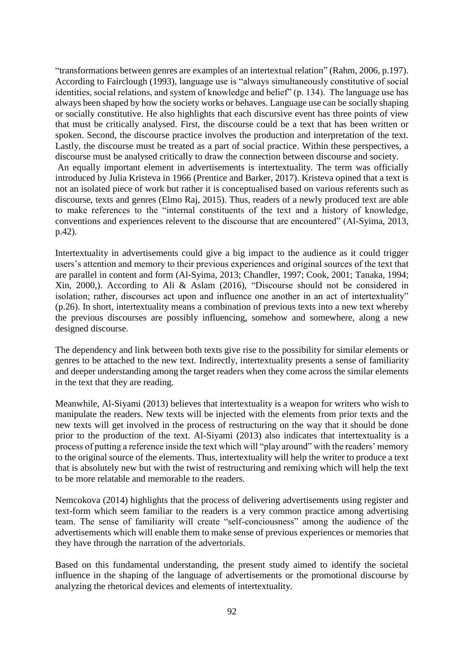"transformations between genres are examples of an intertextual relation" (Rahm, 2006, p.197). According to Fairclough (1993), language use is "always simultaneously constitutive of social identities, social relations, and system of knowledge and belief" (p. 134). The language use has always been shaped by how the society works or behaves. Language use can be socially shaping or socially constitutive. He also highlights that each discursive event has three points of view that must be critically analysed. First, the discourse could be a text that has been written or spoken. Second, the discourse practice involves the production and interpretation of the text. Lastly, the discourse must be treated as a part of social practice. Within these perspectives, a discourse must be analysed critically to draw the connection between discourse and society. An equally important element in advertisements is intertextuality. The term was officially introduced by Julia Kristeva in 1966 (Prentice and Barker, 2017). Kristeva opined that a text is not an isolated piece of work but rather it is conceptualised based on various referents such as discourse, texts and genres (Elmo Raj, 2015). Thus, readers of a newly produced text are able to make references to the "internal constituents of the text and a history of knowledge, conventions and experiences relevent to the discourse that are encountered" (Al-Syima, 2013, p.42).

Intertextuality in advertisements could give a big impact to the audience as it could trigger users's attention and memory to their previous experiences and original sources of the text that are parallel in content and form (Al-Syima, 2013; Chandler, 1997; Cook, 2001; Tanaka, 1994; Xin, 2000,). According to Ali & Aslam (2016), "Discourse should not be considered in isolation; rather, discourses act upon and influence one another in an act of intertextuality" (p.26). In short, intertextuality means a combination of previous texts into a new text whereby the previous discourses are possibly influencing, somehow and somewhere, along a new designed discourse.

The dependency and link between both texts give rise to the possibility for similar elements or genres to be attached to the new text. Indirectly, intertextuality presents a sense of familiarity and deeper understanding among the target readers when they come across the similar elements in the text that they are reading.

Meanwhile, Al-Siyami (2013) believes that intertextuality is a weapon for writers who wish to manipulate the readers. New texts will be injected with the elements from prior texts and the new texts will get involved in the process of restructuring on the way that it should be done prior to the production of the text. Al-Siyami (2013) also indicates that intertextuality is a process of putting a reference inside the text which will "play around" with the readers' memory to the original source of the elements. Thus, intertextuality will help the writer to produce a text that is absolutely new but with the twist of restructuring and remixing which will help the text to be more relatable and memorable to the readers.

Nemcokova (2014) highlights that the process of delivering advertisements using register and text-form which seem familiar to the readers is a very common practice among advertising team. The sense of familiarity will create "self-conciousness" among the audience of the advertisements which will enable them to make sense of previous experiences or memories that they have through the narration of the advertorials.

Based on this fundamental understanding, the present study aimed to identify the societal influence in the shaping of the language of advertisements or the promotional discourse by analyzing the rhetorical devices and elements of intertextuality.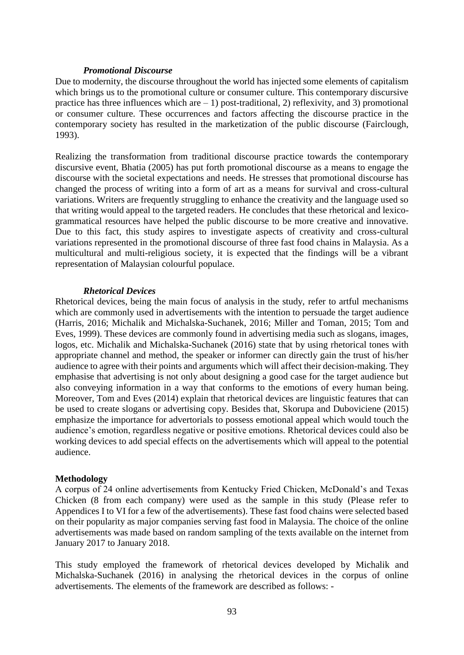#### *Promotional Discourse*

Due to modernity, the discourse throughout the world has injected some elements of capitalism which brings us to the promotional culture or consumer culture. This contemporary discursive practice has three influences which are  $-1$ ) post-traditional, 2) reflexivity, and 3) promotional or consumer culture. These occurrences and factors affecting the discourse practice in the contemporary society has resulted in the marketization of the public discourse (Fairclough, 1993).

Realizing the transformation from traditional discourse practice towards the contemporary discursive event, Bhatia (2005) has put forth promotional discourse as a means to engage the discourse with the societal expectations and needs. He stresses that promotional discourse has changed the process of writing into a form of art as a means for survival and cross-cultural variations. Writers are frequently struggling to enhance the creativity and the language used so that writing would appeal to the targeted readers. He concludes that these rhetorical and lexicogrammatical resources have helped the public discourse to be more creative and innovative. Due to this fact, this study aspires to investigate aspects of creativity and cross-cultural variations represented in the promotional discourse of three fast food chains in Malaysia. As a multicultural and multi-religious society, it is expected that the findings will be a vibrant representation of Malaysian colourful populace.

#### *Rhetorical Devices*

Rhetorical devices, being the main focus of analysis in the study, refer to artful mechanisms which are commonly used in advertisements with the intention to persuade the target audience (Harris, 2016; Michalik and Michalska-Suchanek, 2016; Miller and Toman, 2015; Tom and Eves, 1999). These devices are commonly found in advertising media such as slogans, images, logos, etc. Michalik and Michalska-Suchanek (2016) state that by using rhetorical tones with appropriate channel and method, the speaker or informer can directly gain the trust of his/her audience to agree with their points and arguments which will affect their decision-making. They emphasise that advertising is not only about designing a good case for the target audience but also conveying information in a way that conforms to the emotions of every human being. Moreover, Tom and Eves (2014) explain that rhetorical devices are linguistic features that can be used to create slogans or advertising copy. Besides that, Skorupa and Duboviciene (2015) emphasize the importance for advertorials to possess emotional appeal which would touch the audience's emotion, regardless negative or positive emotions. Rhetorical devices could also be working devices to add special effects on the advertisements which will appeal to the potential audience.

#### **Methodology**

A corpus of 24 online advertisements from Kentucky Fried Chicken, McDonald's and Texas Chicken (8 from each company) were used as the sample in this study (Please refer to Appendices I to VI for a few of the advertisements). These fast food chains were selected based on their popularity as major companies serving fast food in Malaysia. The choice of the online advertisements was made based on random sampling of the texts available on the internet from January 2017 to January 2018.

This study employed the framework of rhetorical devices developed by Michalik and Michalska-Suchanek (2016) in analysing the rhetorical devices in the corpus of online advertisements. The elements of the framework are described as follows: -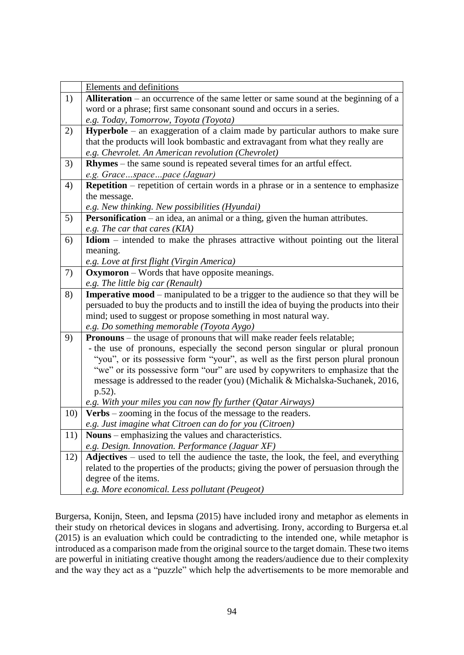|     | <b>Elements and definitions</b>                                                             |  |  |  |
|-----|---------------------------------------------------------------------------------------------|--|--|--|
| 1)  | <b>Alliteration</b> – an occurrence of the same letter or same sound at the beginning of a  |  |  |  |
|     | word or a phrase; first same consonant sound and occurs in a series.                        |  |  |  |
|     | e.g. Today, Tomorrow, Toyota (Toyota)                                                       |  |  |  |
| 2)  | <b>Hyperbole</b> – an exaggeration of a claim made by particular authors to make sure       |  |  |  |
|     | that the products will look bombastic and extravagant from what they really are             |  |  |  |
|     | e.g. Chevrolet. An American revolution (Chevrolet)                                          |  |  |  |
| 3)  | Rhymes – the same sound is repeated several times for an artful effect.                     |  |  |  |
|     | e.g. Gracespacepace (Jaguar)                                                                |  |  |  |
| 4)  | <b>Repetition</b> – repetition of certain words in a phrase or in a sentence to emphasize   |  |  |  |
|     | the message.                                                                                |  |  |  |
|     | e.g. New thinking. New possibilities (Hyundai)                                              |  |  |  |
| 5)  | <b>Personification</b> – an idea, an animal or a thing, given the human attributes.         |  |  |  |
|     | e.g. The car that cares $(KIA)$                                                             |  |  |  |
| 6)  | Idiom - intended to make the phrases attractive without pointing out the literal            |  |  |  |
|     | meaning.                                                                                    |  |  |  |
|     | e.g. Love at first flight (Virgin America)                                                  |  |  |  |
| 7)  | <b>Oxymoron</b> – Words that have opposite meanings.                                        |  |  |  |
|     | e.g. The little big car (Renault)                                                           |  |  |  |
|     | <b>Imperative mood</b> – manipulated to be a trigger to the audience so that they will be   |  |  |  |
| 8)  |                                                                                             |  |  |  |
|     | persuaded to buy the products and to instill the idea of buying the products into their     |  |  |  |
|     | mind; used to suggest or propose something in most natural way.                             |  |  |  |
|     | e.g. Do something memorable (Toyota Aygo)                                                   |  |  |  |
| 9)  | <b>Pronouns</b> – the usage of pronouns that will make reader feels relatable;              |  |  |  |
|     | - the use of pronouns, especially the second person singular or plural pronoun              |  |  |  |
|     | "you", or its possessive form "your", as well as the first person plural pronoun            |  |  |  |
|     | "we" or its possessive form "our" are used by copywriters to emphasize that the             |  |  |  |
|     | message is addressed to the reader (you) (Michalik & Michalska-Suchanek, 2016,              |  |  |  |
|     | $p.52$ ).                                                                                   |  |  |  |
|     | e.g. With your miles you can now fly further $(Q \text{atar Airways})$                      |  |  |  |
| 10) | <b>Verbs</b> – zooming in the focus of the message to the readers.                          |  |  |  |
|     | e.g. Just imagine what Citroen can do for you (Citroen)                                     |  |  |  |
| 11) | <b>Nouns</b> – emphasizing the values and characteristics.                                  |  |  |  |
|     | e.g. Design. Innovation. Performance (Jaguar XF)                                            |  |  |  |
| 12) | <b>Adjectives</b> – used to tell the audience the taste, the look, the feel, and everything |  |  |  |
|     | related to the properties of the products; giving the power of persuasion through the       |  |  |  |
|     | degree of the items.<br>e.g. More economical. Less pollutant (Peugeot)                      |  |  |  |

Burgersa, Konijn, Steen, and Iepsma (2015) have included irony and metaphor as elements in their study on rhetorical devices in slogans and advertising. Irony, according to Burgersa et.al (2015) is an evaluation which could be contradicting to the intended one, while metaphor is introduced as a comparison made from the original source to the target domain. These two items are powerful in initiating creative thought among the readers/audience due to their complexity and the way they act as a "puzzle" which help the advertisements to be more memorable and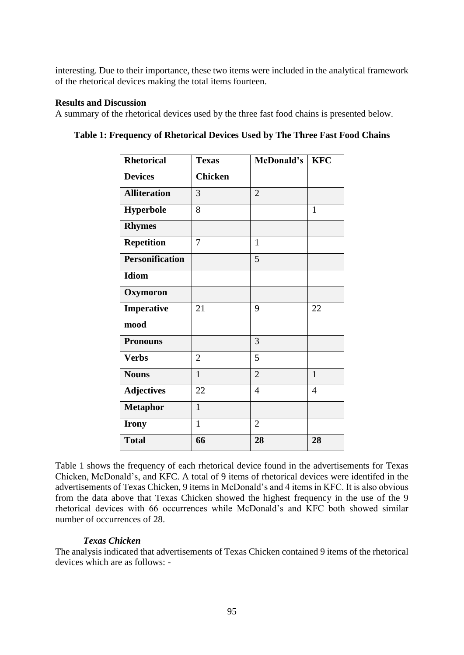interesting. Due to their importance, these two items were included in the analytical framework of the rhetorical devices making the total items fourteen.

### **Results and Discussion**

A summary of the rhetorical devices used by the three fast food chains is presented below.

| <b>Rhetorical</b>      | <b>Texas</b>   | McDonald's     | <b>KFC</b>     |
|------------------------|----------------|----------------|----------------|
| <b>Devices</b>         | <b>Chicken</b> |                |                |
| <b>Alliteration</b>    | 3              | $\overline{2}$ |                |
| <b>Hyperbole</b>       | 8              |                | $\mathbf{1}$   |
| <b>Rhymes</b>          |                |                |                |
| <b>Repetition</b>      | 7              | $\mathbf{1}$   |                |
| <b>Personification</b> |                | 5              |                |
| <b>Idiom</b>           |                |                |                |
| Oxymoron               |                |                |                |
| Imperative             | 21             | 9              | 22             |
| mood                   |                |                |                |
| <b>Pronouns</b>        |                | 3              |                |
| <b>Verbs</b>           | $\overline{2}$ | 5              |                |
| <b>Nouns</b>           | $\mathbf{1}$   | $\overline{2}$ | $\mathbf{1}$   |
| <b>Adjectives</b>      | 22             | $\overline{4}$ | $\overline{4}$ |
| <b>Metaphor</b>        | $\mathbf{1}$   |                |                |
| <b>Irony</b>           | $\mathbf{1}$   | $\overline{2}$ |                |
| <b>Total</b>           | 66             | 28             | 28             |

**Table 1: Frequency of Rhetorical Devices Used by The Three Fast Food Chains**

Table 1 shows the frequency of each rhetorical device found in the advertisements for Texas Chicken, McDonald's, and KFC. A total of 9 items of rhetorical devices were identifed in the advertisements of Texas Chicken, 9 items in McDonald's and 4 items in KFC. It is also obvious from the data above that Texas Chicken showed the highest frequency in the use of the 9 rhetorical devices with 66 occurrences while McDonald's and KFC both showed similar number of occurrences of 28.

## *Texas Chicken*

The analysis indicated that advertisements of Texas Chicken contained 9 items of the rhetorical devices which are as follows: -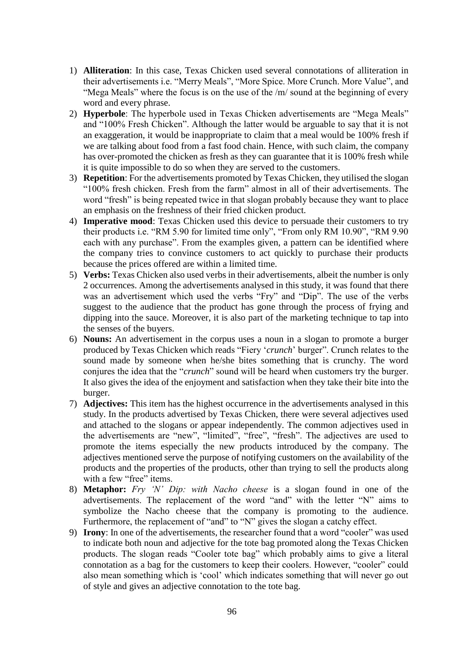- 1) **Alliteration**: In this case, Texas Chicken used several connotations of alliteration in their advertisements i.e. "Merry Meals", "More Spice. More Crunch. More Value", and "Mega Meals" where the focus is on the use of the /m/ sound at the beginning of every word and every phrase.
- 2) **Hyperbole**: The hyperbole used in Texas Chicken advertisements are "Mega Meals" and "100% Fresh Chicken". Although the latter would be arguable to say that it is not an exaggeration, it would be inappropriate to claim that a meal would be 100% fresh if we are talking about food from a fast food chain. Hence, with such claim, the company has over-promoted the chicken as fresh as they can guarantee that it is 100% fresh while it is quite impossible to do so when they are served to the customers.
- 3) **Repetition**: For the advertisements promoted by Texas Chicken, they utilised the slogan "100% fresh chicken. Fresh from the farm" almost in all of their advertisements. The word "fresh" is being repeated twice in that slogan probably because they want to place an emphasis on the freshness of their fried chicken product.
- 4) **Imperative mood**: Texas Chicken used this device to persuade their customers to try their products i.e. "RM 5.90 for limited time only", "From only RM 10.90", "RM 9.90 each with any purchase". From the examples given, a pattern can be identified where the company tries to convince customers to act quickly to purchase their products because the prices offered are within a limited time.
- 5) **Verbs:** Texas Chicken also used verbs in their advertisements, albeit the number is only 2 occurrences. Among the advertisements analysed in this study, it was found that there was an advertisement which used the verbs "Fry" and "Dip". The use of the verbs suggest to the audience that the product has gone through the process of frying and dipping into the sauce. Moreover, it is also part of the marketing technique to tap into the senses of the buyers.
- 6) **Nouns:** An advertisement in the corpus uses a noun in a slogan to promote a burger produced by Texas Chicken which reads "Fiery '*crunch*' burger". Crunch relates to the sound made by someone when he/she bites something that is crunchy. The word conjures the idea that the "*crunch*" sound will be heard when customers try the burger. It also gives the idea of the enjoyment and satisfaction when they take their bite into the burger.
- 7) **Adjectives:** This item has the highest occurrence in the advertisements analysed in this study. In the products advertised by Texas Chicken, there were several adjectives used and attached to the slogans or appear independently. The common adjectives used in the advertisements are "new", "limited", "free", "fresh". The adjectives are used to promote the items especially the new products introduced by the company. The adjectives mentioned serve the purpose of notifying customers on the availability of the products and the properties of the products, other than trying to sell the products along with a few "free" items.
- 8) **Metaphor:** *Fry 'N' Dip: with Nacho cheese* is a slogan found in one of the advertisements. The replacement of the word "and" with the letter "N" aims to symbolize the Nacho cheese that the company is promoting to the audience. Furthermore, the replacement of "and" to "N" gives the slogan a catchy effect.
- 9) **Irony**: In one of the advertisements, the researcher found that a word "cooler" was used to indicate both noun and adjective for the tote bag promoted along the Texas Chicken products. The slogan reads "Cooler tote bag" which probably aims to give a literal connotation as a bag for the customers to keep their coolers. However, "cooler" could also mean something which is 'cool' which indicates something that will never go out of style and gives an adjective connotation to the tote bag.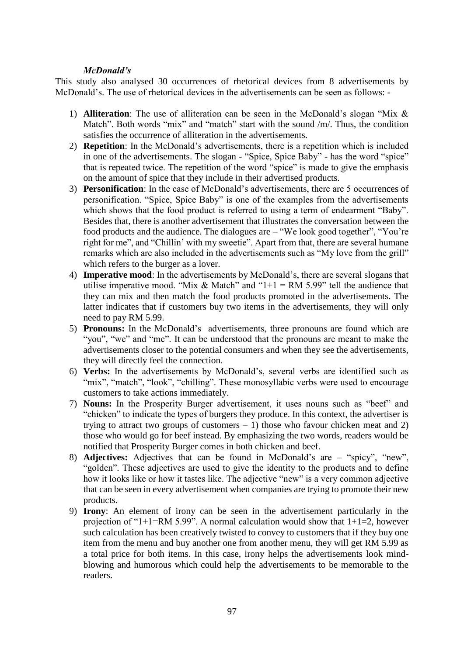#### *McDonald's*

This study also analysed 30 occurrences of rhetorical devices from 8 advertisements by McDonald's. The use of rhetorical devices in the advertisements can be seen as follows: -

- 1) **Alliteration**: The use of alliteration can be seen in the McDonald's slogan "Mix & Match". Both words "mix" and "match" start with the sound /m/. Thus, the condition satisfies the occurrence of alliteration in the advertisements.
- 2) **Repetition**: In the McDonald's advertisements, there is a repetition which is included in one of the advertisements. The slogan - "Spice, Spice Baby" - has the word "spice" that is repeated twice. The repetition of the word "spice" is made to give the emphasis on the amount of spice that they include in their advertised products.
- 3) **Personification**: In the case of McDonald's advertisements, there are 5 occurrences of personification. "Spice, Spice Baby" is one of the examples from the advertisements which shows that the food product is referred to using a term of endearment "Baby". Besides that, there is another advertisement that illustrates the conversation between the food products and the audience. The dialogues are – "We look good together", "You're right for me", and "Chillin' with my sweetie". Apart from that, there are several humane remarks which are also included in the advertisements such as "My love from the grill" which refers to the burger as a lover.
- 4) **Imperative mood**: In the advertisements by McDonald's, there are several slogans that utilise imperative mood. "Mix & Match" and "1+1 = RM 5.99" tell the audience that they can mix and then match the food products promoted in the advertisements. The latter indicates that if customers buy two items in the advertisements, they will only need to pay RM 5.99.
- 5) **Pronouns:** In the McDonald's advertisements, three pronouns are found which are "you", "we" and "me". It can be understood that the pronouns are meant to make the advertisements closer to the potential consumers and when they see the advertisements, they will directly feel the connection.
- 6) **Verbs:** In the advertisements by McDonald's, several verbs are identified such as "mix", "match", "look", "chilling". These monosyllabic verbs were used to encourage customers to take actions immediately.
- 7) **Nouns:** In the Prosperity Burger advertisement, it uses nouns such as "beef" and "chicken" to indicate the types of burgers they produce. In this context, the advertiser is trying to attract two groups of customers  $-1$ ) those who favour chicken meat and 2) those who would go for beef instead. By emphasizing the two words, readers would be notified that Prosperity Burger comes in both chicken and beef.
- 8) **Adjectives:** Adjectives that can be found in McDonald's are "spicy", "new", "golden". These adjectives are used to give the identity to the products and to define how it looks like or how it tastes like. The adjective "new" is a very common adjective that can be seen in every advertisement when companies are trying to promote their new products.
- 9) **Irony**: An element of irony can be seen in the advertisement particularly in the projection of "1+1=RM 5.99". A normal calculation would show that  $1+1=2$ , however such calculation has been creatively twisted to convey to customers that if they buy one item from the menu and buy another one from another menu, they will get RM 5.99 as a total price for both items. In this case, irony helps the advertisements look mindblowing and humorous which could help the advertisements to be memorable to the readers.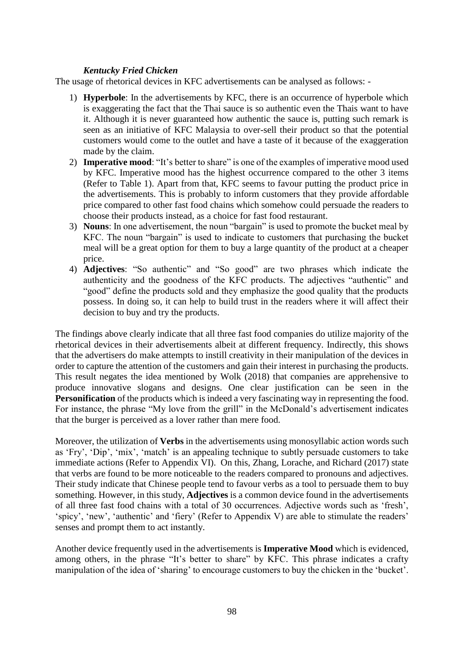#### *Kentucky Fried Chicken*

The usage of rhetorical devices in KFC advertisements can be analysed as follows: -

- 1) **Hyperbole**: In the advertisements by KFC, there is an occurrence of hyperbole which is exaggerating the fact that the Thai sauce is so authentic even the Thais want to have it. Although it is never guaranteed how authentic the sauce is, putting such remark is seen as an initiative of KFC Malaysia to over-sell their product so that the potential customers would come to the outlet and have a taste of it because of the exaggeration made by the claim.
- 2) **Imperative mood**: "It's better to share" is one of the examples of imperative mood used by KFC. Imperative mood has the highest occurrence compared to the other 3 items (Refer to Table 1). Apart from that, KFC seems to favour putting the product price in the advertisements. This is probably to inform customers that they provide affordable price compared to other fast food chains which somehow could persuade the readers to choose their products instead, as a choice for fast food restaurant.
- 3) **Nouns**: In one advertisement, the noun "bargain" is used to promote the bucket meal by KFC. The noun "bargain" is used to indicate to customers that purchasing the bucket meal will be a great option for them to buy a large quantity of the product at a cheaper price.
- 4) **Adjectives**: "So authentic" and "So good" are two phrases which indicate the authenticity and the goodness of the KFC products. The adjectives "authentic" and "good" define the products sold and they emphasize the good quality that the products possess. In doing so, it can help to build trust in the readers where it will affect their decision to buy and try the products.

The findings above clearly indicate that all three fast food companies do utilize majority of the rhetorical devices in their advertisements albeit at different frequency. Indirectly, this shows that the advertisers do make attempts to instill creativity in their manipulation of the devices in order to capture the attention of the customers and gain their interest in purchasing the products. This result negates the idea mentioned by Wolk (2018) that companies are apprehensive to produce innovative slogans and designs. One clear justification can be seen in the **Personification** of the products which is indeed a very fascinating way in representing the food. For instance, the phrase "My love from the grill" in the McDonald's advertisement indicates that the burger is perceived as a lover rather than mere food.

Moreover, the utilization of **Verbs** in the advertisements using monosyllabic action words such as 'Fry', 'Dip', 'mix', 'match' is an appealing technique to subtly persuade customers to take immediate actions (Refer to Appendix VI). On this, Zhang, Lorache, and Richard (2017) state that verbs are found to be more noticeable to the readers compared to pronouns and adjectives. Their study indicate that Chinese people tend to favour verbs as a tool to persuade them to buy something. However, in this study, **Adjectives** is a common device found in the advertisements of all three fast food chains with a total of 30 occurrences. Adjective words such as 'fresh', 'spicy', 'new', 'authentic' and 'fiery' (Refer to Appendix V) are able to stimulate the readers' senses and prompt them to act instantly.

Another device frequently used in the advertisements is **Imperative Mood** which is evidenced, among others, in the phrase "It's better to share" by KFC. This phrase indicates a crafty manipulation of the idea of 'sharing' to encourage customers to buy the chicken in the 'bucket'.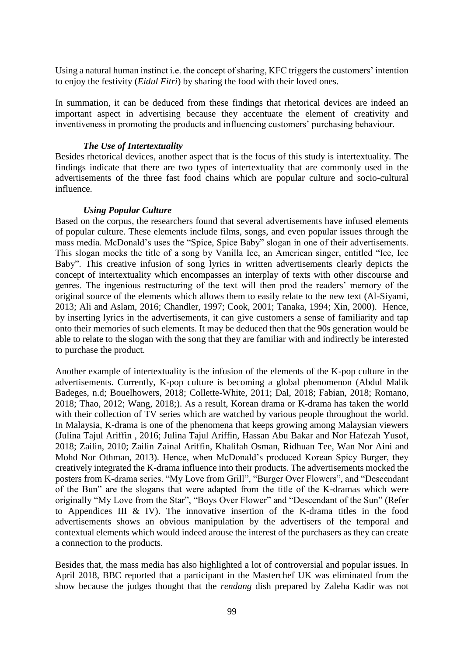Using a natural human instinct i.e. the concept of sharing, KFC triggers the customers' intention to enjoy the festivity (*Eidul Fitri*) by sharing the food with their loved ones.

In summation, it can be deduced from these findings that rhetorical devices are indeed an important aspect in advertising because they accentuate the element of creativity and inventiveness in promoting the products and influencing customers' purchasing behaviour.

#### *The Use of Intertextuality*

Besides rhetorical devices, another aspect that is the focus of this study is intertextuality. The findings indicate that there are two types of intertextuality that are commonly used in the advertisements of the three fast food chains which are popular culture and socio-cultural influence.

#### *Using Popular Culture*

Based on the corpus, the researchers found that several advertisements have infused elements of popular culture. These elements include films, songs, and even popular issues through the mass media. McDonald's uses the "Spice, Spice Baby" slogan in one of their advertisements. This slogan mocks the title of a song by Vanilla Ice, an American singer, entitled "Ice, Ice Baby". This creative infusion of song lyrics in written advertisements clearly depicts the concept of intertextuality which encompasses an interplay of texts with other discourse and genres. The ingenious restructuring of the text will then prod the readers' memory of the original source of the elements which allows them to easily relate to the new text (Al-Siyami, 2013; Ali and Aslam, 2016; Chandler, 1997; Cook, 2001; Tanaka, 1994; Xin, 2000). Hence, by inserting lyrics in the advertisements, it can give customers a sense of familiarity and tap onto their memories of such elements. It may be deduced then that the 90s generation would be able to relate to the slogan with the song that they are familiar with and indirectly be interested to purchase the product.

Another example of intertextuality is the infusion of the elements of the K-pop culture in the advertisements. Currently, K-pop culture is becoming a global phenomenon (Abdul Malik Badeges, n.d; Bouelhowers, 2018; Collette-White, 2011; Dal, 2018; Fabian, 2018; Romano, 2018; Thao, 2012; Wang, 2018;). As a result, Korean drama or K-drama has taken the world with their collection of TV series which are watched by various people throughout the world. In Malaysia, K-drama is one of the phenomena that keeps growing among Malaysian viewers (Julina Tajul Ariffin , 2016; Julina Tajul Ariffin, Hassan Abu Bakar and Nor Hafezah Yusof, 2018; Zailin, 2010; Zailin Zainal Ariffin, Khalifah Osman, Ridhuan Tee, Wan Nor Aini and Mohd Nor Othman, 2013). Hence, when McDonald's produced Korean Spicy Burger, they creatively integrated the K-drama influence into their products. The advertisements mocked the posters from K-drama series. "My Love from Grill", "Burger Over Flowers", and "Descendant of the Bun" are the slogans that were adapted from the title of the K-dramas which were originally "My Love from the Star", "Boys Over Flower" and "Descendant of the Sun" (Refer to Appendices III & IV). The innovative insertion of the K-drama titles in the food advertisements shows an obvious manipulation by the advertisers of the temporal and contextual elements which would indeed arouse the interest of the purchasers as they can create a connection to the products.

Besides that, the mass media has also highlighted a lot of controversial and popular issues. In April 2018, BBC reported that a participant in the Masterchef UK was eliminated from the show because the judges thought that the *rendang* dish prepared by Zaleha Kadir was not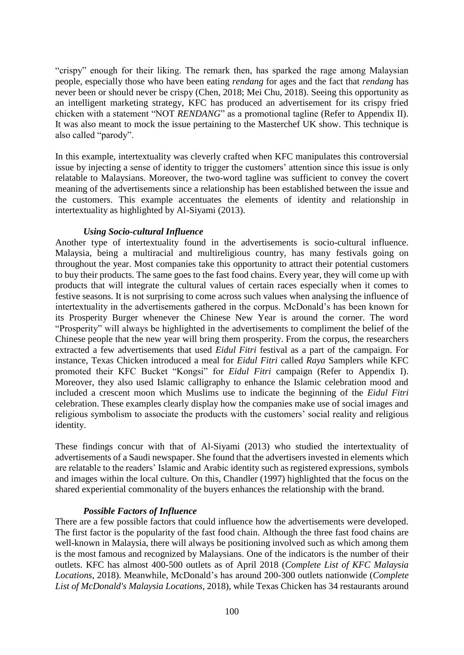"crispy" enough for their liking. The remark then, has sparked the rage among Malaysian people, especially those who have been eating *rendang* for ages and the fact that *rendang* has never been or should never be crispy (Chen, 2018; Mei Chu, 2018). Seeing this opportunity as an intelligent marketing strategy, KFC has produced an advertisement for its crispy fried chicken with a statement "NOT *RENDANG*" as a promotional tagline (Refer to Appendix II). It was also meant to mock the issue pertaining to the Masterchef UK show. This technique is also called "parody".

In this example, intertextuality was cleverly crafted when KFC manipulates this controversial issue by injecting a sense of identity to trigger the customers' attention since this issue is only relatable to Malaysians. Moreover, the two-word tagline was sufficient to convey the covert meaning of the advertisements since a relationship has been established between the issue and the customers. This example accentuates the elements of identity and relationship in intertextuality as highlighted by Al-Siyami (2013).

#### *Using Socio-cultural Influence*

Another type of intertextuality found in the advertisements is socio-cultural influence. Malaysia, being a multiracial and multireligious country, has many festivals going on throughout the year. Most companies take this opportunity to attract their potential customers to buy their products. The same goes to the fast food chains. Every year, they will come up with products that will integrate the cultural values of certain races especially when it comes to festive seasons. It is not surprising to come across such values when analysing the influence of intertextuality in the advertisements gathered in the corpus. McDonald's has been known for its Prosperity Burger whenever the Chinese New Year is around the corner. The word "Prosperity" will always be highlighted in the advertisements to compliment the belief of the Chinese people that the new year will bring them prosperity. From the corpus, the researchers extracted a few advertisements that used *Eidul Fitri* festival as a part of the campaign. For instance, Texas Chicken introduced a meal for *Eidul Fitri* called *Raya* Samplers while KFC promoted their KFC Bucket "Kongsi" for *Eidul Fitri* campaign (Refer to Appendix I). Moreover, they also used Islamic calligraphy to enhance the Islamic celebration mood and included a crescent moon which Muslims use to indicate the beginning of the *Eidul Fitri*  celebration. These examples clearly display how the companies make use of social images and religious symbolism to associate the products with the customers' social reality and religious identity.

These findings concur with that of Al-Siyami (2013) who studied the intertextuality of advertisements of a Saudi newspaper. She found that the advertisers invested in elements which are relatable to the readers' Islamic and Arabic identity such as registered expressions, symbols and images within the local culture. On this, Chandler (1997) highlighted that the focus on the shared experiential commonality of the buyers enhances the relationship with the brand.

#### *Possible Factors of Influence*

There are a few possible factors that could influence how the advertisements were developed. The first factor is the popularity of the fast food chain. Although the three fast food chains are well-known in Malaysia, there will always be positioning involved such as which among them is the most famous and recognized by Malaysians. One of the indicators is the number of their outlets. KFC has almost 400-500 outlets as of April 2018 (*Complete List of KFC Malaysia Locations*, 2018). Meanwhile, McDonald's has around 200-300 outlets nationwide (*Complete List of McDonald's Malaysia Locations*, 2018), while Texas Chicken has 34 restaurants around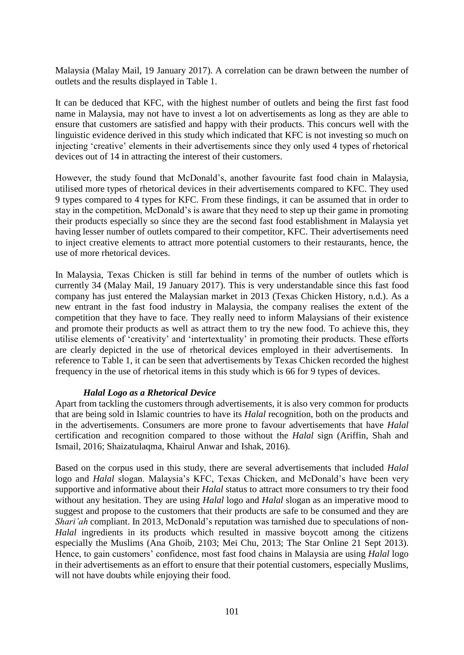Malaysia (Malay Mail, 19 January 2017). A correlation can be drawn between the number of outlets and the results displayed in Table 1.

It can be deduced that KFC, with the highest number of outlets and being the first fast food name in Malaysia, may not have to invest a lot on advertisements as long as they are able to ensure that customers are satisfied and happy with their products. This concurs well with the linguistic evidence derived in this study which indicated that KFC is not investing so much on injecting 'creative' elements in their advertisements since they only used 4 types of rhetorical devices out of 14 in attracting the interest of their customers.

However, the study found that McDonald's, another favourite fast food chain in Malaysia, utilised more types of rhetorical devices in their advertisements compared to KFC. They used 9 types compared to 4 types for KFC. From these findings, it can be assumed that in order to stay in the competition, McDonald's is aware that they need to step up their game in promoting their products especially so since they are the second fast food establishment in Malaysia yet having lesser number of outlets compared to their competitor, KFC. Their advertisements need to inject creative elements to attract more potential customers to their restaurants, hence, the use of more rhetorical devices.

In Malaysia, Texas Chicken is still far behind in terms of the number of outlets which is currently 34 (Malay Mail, 19 January 2017). This is very understandable since this fast food company has just entered the Malaysian market in 2013 (Texas Chicken History, n.d.). As a new entrant in the fast food industry in Malaysia, the company realises the extent of the competition that they have to face. They really need to inform Malaysians of their existence and promote their products as well as attract them to try the new food. To achieve this, they utilise elements of 'creativity' and 'intertextuality' in promoting their products. These efforts are clearly depicted in the use of rhetorical devices employed in their advertisements. In reference to Table 1, it can be seen that advertisements by Texas Chicken recorded the highest frequency in the use of rhetorical items in this study which is 66 for 9 types of devices.

## *Halal Logo as a Rhetorical Device*

Apart from tackling the customers through advertisements, it is also very common for products that are being sold in Islamic countries to have its *Halal* recognition, both on the products and in the advertisements. Consumers are more prone to favour advertisements that have *Halal* certification and recognition compared to those without the *Halal* sign (Ariffin, Shah and Ismail, 2016; Shaizatulaqma, Khairul Anwar and Ishak, 2016).

Based on the corpus used in this study, there are several advertisements that included *Halal* logo and *Halal* slogan. Malaysia's KFC, Texas Chicken, and McDonald's have been very supportive and informative about their *Halal* status to attract more consumers to try their food without any hesitation. They are using *Halal* logo and *Halal* slogan as an imperative mood to suggest and propose to the customers that their products are safe to be consumed and they are *Shari'ah* compliant. In 2013, McDonald's reputation was tarnished due to speculations of non-*Halal* ingredients in its products which resulted in massive boycott among the citizens especially the Muslims (Ana Ghoib, 2103; Mei Chu, 2013; The Star Online 21 Sept 2013). Hence, to gain customers' confidence, most fast food chains in Malaysia are using *Halal* logo in their advertisements as an effort to ensure that their potential customers, especially Muslims, will not have doubts while enjoying their food.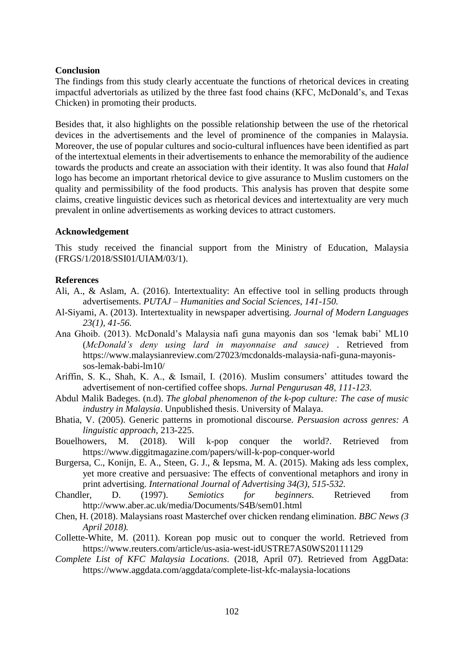#### **Conclusion**

The findings from this study clearly accentuate the functions of rhetorical devices in creating impactful advertorials as utilized by the three fast food chains (KFC, McDonald's, and Texas Chicken) in promoting their products.

Besides that, it also highlights on the possible relationship between the use of the rhetorical devices in the advertisements and the level of prominence of the companies in Malaysia. Moreover, the use of popular cultures and socio-cultural influences have been identified as part of the intertextual elements in their advertisements to enhance the memorability of the audience towards the products and create an association with their identity. It was also found that *Halal* logo has become an important rhetorical device to give assurance to Muslim customers on the quality and permissibility of the food products. This analysis has proven that despite some claims, creative linguistic devices such as rhetorical devices and intertextuality are very much prevalent in online advertisements as working devices to attract customers.

#### **Acknowledgement**

This study received the financial support from the Ministry of Education, Malaysia (FRGS/1/2018/SSI01/UIAM/03/1).

#### **References**

- Ali, A., & Aslam, A. (2016). Intertextuality: An effective tool in selling products through advertisements. *PUTAJ – Humanities and Social Sciences*, *141-150.*
- Al-Siyami, A. (2013). Intertextuality in newspaper advertising. *Journal of Modern Languages 23(1)*, *41-56.*
- Ana Ghoib. (2013). McDonald's Malaysia nafi guna mayonis dan sos 'lemak babi' ML10 (*McDonald's deny using lard in mayonnaise and sauce)* . Retrieved from https://www.malaysianreview.com/27023/mcdonalds-malaysia-nafi-guna-mayonissos-lemak-babi-lm10/
- Ariffin, S. K., Shah, K. A., & Ismail, I. (2016). Muslim consumers' attitudes toward the advertisement of non-certified coffee shops. *Jurnal Pengurusan 48*, *111-123.*
- Abdul Malik Badeges. (n.d). *The global phenomenon of the k-pop culture: The case of music industry in Malaysia*. Unpublished thesis. University of Malaya.
- Bhatia, V. (2005). Generic patterns in promotional discourse. *Persuasion across genres: A linguistic approach*, 213-225.
- Bouelhowers, M. (2018). Will k-pop conquer the world?. Retrieved from https://www.diggitmagazine.com/papers/will-k-pop-conquer-world
- Burgersa, C., Konijn, E. A., Steen, G. J., & Iepsma, M. A. (2015). Making ads less complex, yet more creative and persuasive: The effects of conventional metaphors and irony in print advertising. *International Journal of Advertising 34(3)*, *515-532.*
- Chandler, D. (1997). *Semiotics for beginners.* Retrieved from http://www.aber.ac.uk/media/Documents/S4B/sem01.html
- Chen, H. (2018). Malaysians roast Masterchef over chicken rendang elimination. *BBC News (3 April 2018).*
- Collette-White, M. (2011). Korean pop music out to conquer the world. Retrieved from https://www.reuters.com/article/us-asia-west-idUSTRE7AS0WS20111129
- *Complete List of KFC Malaysia Locations*. (2018, April 07). Retrieved from AggData: https://www.aggdata.com/aggdata/complete-list-kfc-malaysia-locations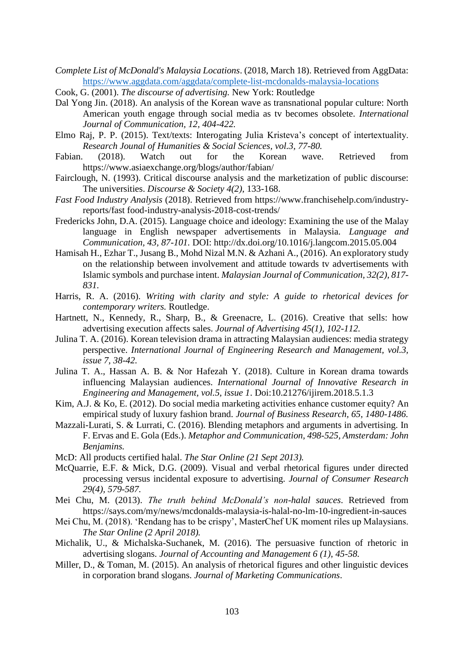- *Complete List of McDonald's Malaysia Locations*. (2018, March 18). Retrieved from AggData: <https://www.aggdata.com/aggdata/complete-list-mcdonalds-malaysia-locations>
- Cook, G. (2001). *The discourse of advertising.* New York: Routledge
- Dal Yong Jin. (2018). An analysis of the Korean wave as transnational popular culture: North American youth engage through social media as tv becomes obsolete. *International Journal of Communication, 12, 404-422.*
- Elmo Raj, P. P. (2015). Text/texts: Interogating Julia Kristeva's concept of intertextuality. *Research Jounal of Humanities & Social Sciences, vol.3, 77-80.*
- Fabian. (2018). Watch out for the Korean wave. Retrieved from https://www.asiaexchange.org/blogs/author/fabian/
- Fairclough, N. (1993). Critical discourse analysis and the marketization of public discourse: The universities. *Discourse & Society 4(2)*, 133-168.
- *Fast Food Industry Analysis* (2018). Retrieved from https://www.franchisehelp.com/industryreports/fast food-industry-analysis-2018-cost-trends/
- Fredericks John, D.A. (2015). Language choice and ideology: Examining the use of the Malay language in English newspaper advertisements in Malaysia. *Language and Communication, 43, 87-101.* DOI: http://dx.doi.org/10.1016/j.langcom.2015.05.004
- Hamisah H., Ezhar T., Jusang B., Mohd Nizal M.N. & Azhani A., (2016). An exploratory study on the relationship between involvement and attitude towards tv advertisements with Islamic symbols and purchase intent. *Malaysian Journal of Communication, 32(2), 817- 831.*
- Harris, R. A. (2016). *Writing with clarity and style: A guide to rhetorical devices for contemporary writers.* Routledge.
- Hartnett, N., Kennedy, R., Sharp, B., & Greenacre, L. (2016). Creative that sells: how advertising execution affects sales. *Journal of Advertising 45(1), 102-112.*
- Julina T. A. (2016). Korean television drama in attracting Malaysian audiences: media strategy perspective. *International Journal of Engineering Research and Management, vol.3, issue 7, 38-42.*
- Julina T. A., Hassan A. B. & Nor Hafezah Y. (2018). Culture in Korean drama towards influencing Malaysian audiences. *International Journal of Innovative Research in Engineering and Management, vol.5, issue 1*. Doi:10.21276/ijirem.2018.5.1.3
- Kim, A.J. & Ko, E. (2012). Do social media marketing activities enhance customer equity? An empirical study of luxury fashion brand. *Journal of Business Research, 65, 1480-1486.*
- Mazzali-Lurati, S. & Lurrati, C. (2016). Blending metaphors and arguments in advertising. In F. Ervas and E. Gola (Eds.). *Metaphor and Communication, 498-525, Amsterdam: John Benjamins.*
- McD: All products certified halal. *The Star Online (21 Sept 2013).*
- McQuarrie, E.F. & Mick, D.G. (2009). Visual and verbal rhetorical figures under directed processing versus incidental exposure to advertising. *Journal of Consumer Research 29(4), 579-587.*
- Mei Chu, M. (2013). *The truth behind McDonald's non-halal sauces*. Retrieved from https://says.com/my/news/mcdonalds-malaysia-is-halal-no-lm-10-ingredient-in-sauces
- Mei Chu, M. (2018). 'Rendang has to be crispy', MasterChef UK moment riles up Malaysians. *The Star Online (2 April 2018).*
- Michalik, U., & Michalska-Suchanek, M. (2016). The persuasive function of rhetoric in advertising slogans. *Journal of Accounting and Management 6 (1)*, *45-58.*
- Miller, D., & Toman, M. (2015). An analysis of rhetorical figures and other linguistic devices in corporation brand slogans. *Journal of Marketing Communications*.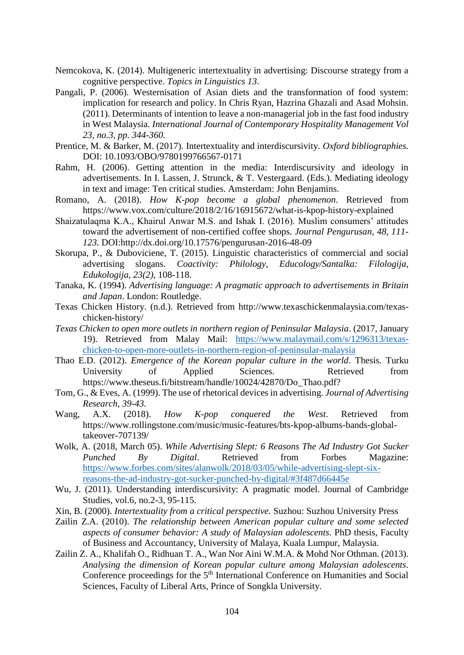- Nemcokova, K. (2014). Multigeneric intertextuality in advertising: Discourse strategy from a cognitive perspective. *Topics in Linguistics 13*.
- Pangali, P. (2006). Westernisation of Asian diets and the transformation of food system: implication for research and policy. In Chris Ryan, Hazrina Ghazali and Asad Mohsin. (2011). Determinants of intention to leave a non-managerial job in the fast food industry in West Malaysia. *International Journal of Contemporary Hospitality Management Vol 23, no.3, pp. 344-360.*
- Prentice, M. & Barker, M. (2017). Intertextuality and interdiscursivity. *Oxford bibliographies.*  DOI: 10.1093/OBO/9780199766567-0171
- Rahm, H. (2006). Getting attention in the media: Interdiscursivity and ideology in advertisements. In I. Lassen, J. Strunck, & T. Vestergaard. (Eds.). Mediating ideology in text and image: Ten critical studies. Amsterdam: John Benjamins.
- Romano, A. (2018). *How K-pop become a global phenomenon*. Retrieved from https://www.vox.com/culture/2018/2/16/16915672/what-is-kpop-history-explained
- Shaizatulaqma K.A., Khairul Anwar M.S. and Ishak I. (2016). Muslim consumers' attitudes toward the advertisement of non-certified coffee shops. *Journal Pengurusan, 48, 111- 123.* DOI:http://dx.doi.org/10.17576/pengurusan-2016-48-09
- Skorupa, P., & Duboviciene, T. (2015). Linguistic characteristics of commercial and social advertising slogans. *Coactivity: Philology, Educology/Santalka: Filologija, Edukologija, 23(2)*, 108-118.
- Tanaka, K. (1994). *Advertising language: A pragmatic approach to advertisements in Britain and Japan*. London: Routledge.
- Texas Chicken History. (n.d.). Retrieved from http://www.texaschickenmalaysia.com/texaschicken-history/
- *Texas Chicken to open more outlets in northern region of Peninsular Malaysia*. (2017, January 19). Retrieved from Malay Mail: [https://www.malaymail.com/s/1296313/texas](https://www.malaymail.com/s/1296313/texas-chicken-to-open-more-outlets-in-northern-region-of-peninsular-malaysia)[chicken-to-open-more-outlets-in-northern-region-of-peninsular-malaysia](https://www.malaymail.com/s/1296313/texas-chicken-to-open-more-outlets-in-northern-region-of-peninsular-malaysia)
- Thao E.D. (2012). *Emergence of the Korean popular culture in the world*. Thesis. Turku University of Applied Sciences. Retrieved from https://www.theseus.fi/bitstream/handle/10024/42870/Do\_Thao.pdf?
- Tom, G., & Eves, A. (1999). The use of rhetorical devices in advertising. *Journal of Advertising Research*, *39-43.*
- Wang, A.X. (2018). *How K-pop conquered the West*. Retrieved from https://www.rollingstone.com/music/music-features/bts-kpop-albums-bands-globaltakeover-707139/
- Wolk, A. (2018, March 05). *While Advertising Slept: 6 Reasons The Ad Industry Got Sucker Punched By Digital*. Retrieved from Forbes Magazine: [https://www.forbes.com/sites/alanwolk/2018/03/05/while-advertising-slept-six](https://www.forbes.com/sites/alanwolk/2018/03/05/while-advertising-slept-six-reasons-the-ad-industry-got-sucker-punched-by-digital/#3f487d66445e)[reasons-the-ad-industry-got-sucker-punched-by-digital/#3f487d66445e](https://www.forbes.com/sites/alanwolk/2018/03/05/while-advertising-slept-six-reasons-the-ad-industry-got-sucker-punched-by-digital/#3f487d66445e)
- Wu, J. (2011). Understanding interdiscursivity: A pragmatic model. Journal of Cambridge Studies, vol.6, no.2-3, 95-115.
- Xin, B. (2000). *Intertextuality from a critical perspective.* Suzhou: Suzhou University Press
- Zailin Z.A. (2010). *The relationship between American popular culture and some selected aspects of consumer behavior: A study of Malaysian adolescents*. PhD thesis, Faculty of Business and Accountancy, University of Malaya, Kuala Lumpur, Malaysia.
- Zailin Z. A., Khalifah O., Ridhuan T. A., Wan Nor Aini W.M.A. & Mohd Nor Othman. (2013). *Analysing the dimension of Korean popular culture among Malaysian adolescents*. Conference proceedings for the 5<sup>th</sup> International Conference on Humanities and Social Sciences, Faculty of Liberal Arts, Prince of Songkla University.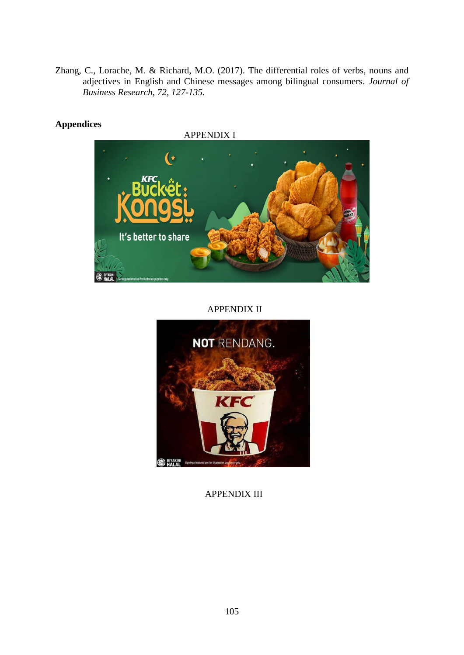Zhang, C., Lorache, M. & Richard, M.O. (2017). The differential roles of verbs, nouns and adjectives in English and Chinese messages among bilingual consumers. *Journal of Business Research, 72, 127-135.*

## **Appendices**

 APPENDIX I  $\mathbf{r}$ It's better to share

## APPENDIX II



APPENDIX III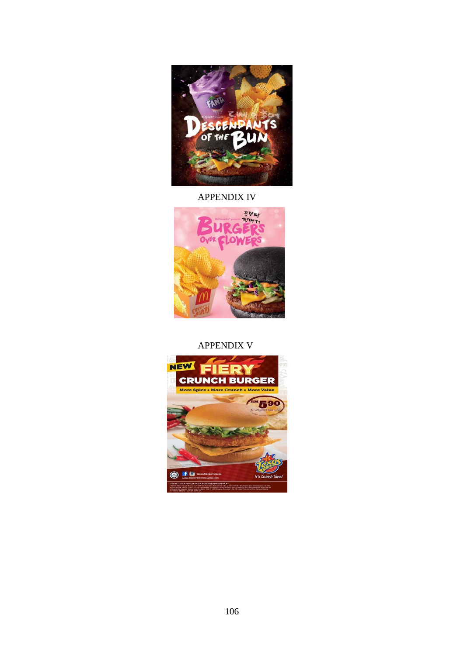

## APPENDIX IV



## APPENDIX V